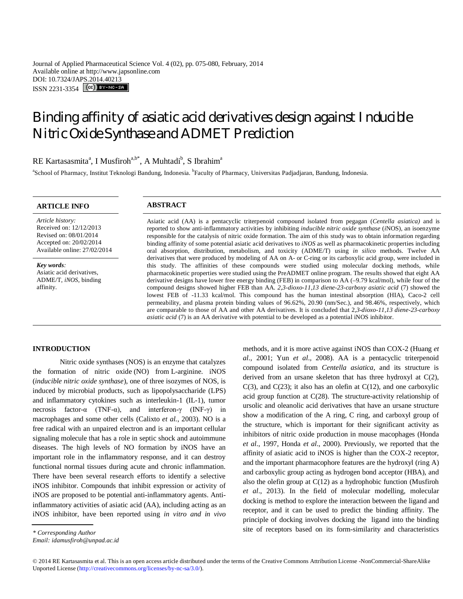Journal of Applied Pharmaceutical Science Vol. 4 (02), pp. 075-080, February, 2014 Available online at http://www.japsonline.com DOI: 10.7324/JAPS.2014.40213 ISSN 2231-3354 (CC) BY-NO-SA

# Binding affinity of asiatic acid derivatives design against *Inducible Nitric Oxide Synthase* and ADMET Prediction

# RE Kartasasmita<sup>a</sup>, I Musfiroh<sup>a,b\*</sup>, A Muhtadi<sup>b</sup>, S Ibrahim<sup>a</sup>

<sup>a</sup>School of Pharmacy, Institut Teknologi Bandung, Indonesia. <sup>b</sup>Faculty of Pharmacy, Universitas Padjadjaran, Bandung, Indonesia.

# **ARTICLE INFO ABSTRACT**

*Article history:* Received on: 12/12/2013 Revised on: 08/01/2014 Accepted on: 20/02/2014 Available online: 27/02/2014

*Key words:*  Asiatic acid derivatives, ADME/T, *iNOS*, binding affinity.

Asiatic acid (AA) is a pentacyclic triterpenoid compound isolated from pegagan (*Centella asiatica)* and is reported to show anti-inflammatory activities by inhibiting *inducible nitric oxide synthase* (*i*NOS), an isoenzyme responsible for the catalysis of nitric oxide formation. The aim of this study was to obtain information regarding binding affinity of some potential asiatic acid derivatives to *iNOS* as well as pharmacokinetic properties including oral absorption, distribution, metabolism, and toxicity (ADME/T) using *in silico* methods. Twelve AA derivatives that were produced by modeling of AA on A- or C-ring or its carboxylic acid group, were included in this study. The affinities of these compounds were studied using molecular docking methods, while pharmacokinetic properties were studied using the PreADMET online program. The results showed that eight AA derivative designs have lower free energy binding (FEB) in comparison to AA (–9.79 kcal/mol), while four of the compound designs showed higher FEB than AA. *2,3-dioxo-11,13 diene-23-carboxy asiatic acid* (7) showed the lowest FEB of -11.33 kcal/mol. This compound has the human intestinal absorption (HIA), Caco-2 cell permeability, and plasma protein binding values of 96.62%, 20.90 (nm/Sec.), and 98.46%, respectively, which are comparable to those of AA and other AA derivatives. It is concluded that 2*,3-dioxo-11,13 diene-23-carboxy asiatic acid* (7) is an AA derivative with potential to be developed as a potential iNOS inhibitor.

### **INTRODUCTION**

Nitric oxide synthases (NOS) is an enzyme that catalyzes the formation of nitric oxide (NO) from L-arginine. iNOS (*inducible nitric oxide synthase*), one of three isozymes of NOS, is induced by microbial products, such as lipopolysaccharide (LPS) and inflammatory cytokines such as interleukin-1 (IL-1), tumor necrosis factor-α (TNF-α), and interferon-γ (INF-γ) in macrophages and some other cells (Calixto *et al.*, 2003). NO is a free radical with an unpaired electron and is an important cellular signaling molecule that has a role in septic shock and autoimmune diseases. The high levels of NO formation by iNOS have an important role in the inflammatory response, and it can destroy functional normal tissues during acute and chronic inflammation. There have been several research efforts to identify a selective iNOS inhibitor. Compounds that inhibit expression or activity of iNOS are proposed to be potential anti-inflammatory agents. Antiinflammatory activities of asiatic acid (AA), including acting as an iNOS inhibitor, have been reported using *in vitro and in vivo* 

methods, and it is more active against iNOS than COX-2 (Huang *et al*.*,* 2001; Yun *et al*.*,* 2008). AA is a pentacyclic triterpenoid compound isolated from *Centella asiatica*, and its structure is derived from an ursane skeleton that has three hydroxyl at C(2),  $C(3)$ , and  $C(23)$ ; it also has an olefin at  $C(12)$ , and one carboxylic acid group function at C(28). The structure-activity relationship of ursolic and oleanolic acid derivatives that have an ursane structure show a modification of the A ring, C ring, and carboxyl group of the structure, which is important for their significant activity as inhibitors of nitric oxide production in mouse macophages (Honda *et al*., 1997, Honda *et al*., 2000). Previously, we reported that the affinity of asiatic acid to iNOS is higher than the COX-2 receptor, and the important pharmacophore features are the hydroxyl (ring A) and carboxylic group acting as hydrogen bond acceptor (HBA), and also the olefin group at  $C(12)$  as a hydrophobic function (Musfiroh *et al*., 2013). In the field of molecular modelling, molecular docking is method to explore the interaction between the ligand and receptor, and it can be used to predict the binding affinity. The principle of docking involves docking the ligand into the binding site of receptors based on its form-similarity and characteristics

*<sup>\*</sup> Corresponding Author*

*Email: idamusfiroh@unpad.ac.id* 

<sup>© 2014</sup> RE Kartasasmita et al. This is an open access article distributed under the terms of the Creative Commons Attribution License -NonCommercial-ShareAlike Unported License (http://creativecommons.org/licenses/by-nc-sa/3.0/).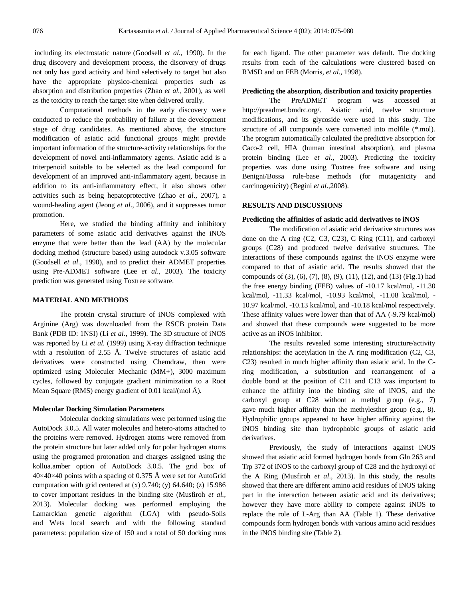including its electrostatic nature (Goodsell *et al.,* 1990). In the drug discovery and development process, the discovery of drugs not only has good activity and bind selectively to target but also have the appropriate physico-chemical properties such as absorption and distribution properties (Zhao *et al.,* 2001), as well as the toxicity to reach the target site when delivered orally.

Computational methods in the early discovery were conducted to reduce the probability of failure at the development stage of drug candidates. As mentioned above, the structure modification of asiatic acid functional groups might provide important information of the structure-activity relationships for the development of novel anti-inflammatory agents. Asiatic acid is a triterpenoid suitable to be selected as the lead compound for development of an improved anti-inflammatory agent, because in addition to its anti-inflammatory effect, it also shows other activities such as being hepatoprotective (Zhao *et al*.*,* 2007), a wound-healing agent (Jeong *et al*.*,* 2006), and it suppresses tumor promotion.

Here, we studied the binding affinity and inhibitory parameters of some asiatic acid derivatives against the iNOS enzyme that were better than the lead (AA) by the molecular docking method (structure based) using autodock v.3.05 software (Goodsell *et al*.*,* 1990), and to predict their ADMET properties using Pre-ADMET software (Lee *et al*.*,* 2003). The toxicity prediction was generated using Toxtree software.

#### **MATERIAL AND METHODS**

The protein crystal structure of iNOS complexed with Arginine (Arg) was downloaded from the RSCB protein Data Bank (PDB ID: 1NSI) (Li *et al.,* 1999). The 3D structure of iNOS was reported by Li *et al.* (1999) using X-ray diffraction technique with a resolution of 2.55 Å. Twelve structures of asiatic acid derivatives were constructed using Chemdraw, then were optimized using Moleculer Mechanic (MM+), 3000 maximum cycles, followed by conjugate gradient minimization to a Root Mean Square (RMS) energy gradient of 0.01 kcal/(mol Å).

#### **Molecular Docking Simulation Parameters**

Molecular docking simulations were performed using the AutoDock 3.0.5. All water molecules and hetero-atoms attached to the proteins were removed. Hydrogen atoms were removed from the protein structure but later added only for polar hydrogen atoms using the programed protonation and charges assigned using the kollua.amber option of AutoDock 3.0.5. The grid box of  $40\times40\times40$  points with a spacing of 0.375 Å were set for AutoGrid computation with grid centered at  $(x)$  9.740;  $(y)$  64.640;  $(z)$  15.986 to cover important residues in the binding site (Musfiroh *et al.,* 2013). Molecular docking was performed employing the Lamarckian genetic algorithm (LGA) with pseudo-Solis and Wets local search and with the following standard parameters: population size of 150 and a total of 50 docking runs for each ligand. The other parameter was default. The docking results from each of the calculations were clustered based on RMSD and on FEB (Morris, *et al*., 1998).

### **Predicting the absorption, distribution and toxicity properties**

The PreADMET program was accessed at http://preadmet.bmdrc.org/. Asiatic acid, twelve structure modifications, and its glycoside were used in this study. The structure of all compounds were converted into molfile (\*.mol). The program automatically calculated the predictive absorption for Caco-2 cell, HIA (human intestinal absorption), and plasma protein binding (Lee *et al.,* 2003). Predicting the toxicity properties was done using Toxtree free software and using Benigni/Bossa rule-base methods (for mutagenicity and carcinogenicity) (Begini *et al*.*,*2008).

#### **RESULTS AND DISCUSSIONS**

#### **Predicting the affinities of asiatic acid derivatives to iNOS**

The modification of asiatic acid derivative structures was done on the A ring (C2, C3, C23), C Ring (C11), and carboxyl groups (C28) and produced twelve derivative structures. The interactions of these compounds against the iNOS enzyme were compared to that of asiatic acid. The results showed that the compounds of (3), (6), (7), (8), (9), (11), (12), and (13) (Fig.1) had the free energy binding (FEB) values of -10.17 kcal/mol, -11.30 kcal/mol, -11.33 kcal/mol, -10.93 kcal/mol, -11.08 kcal/mol, - 10.97 kcal/mol, -10.13 kcal/mol, and -10.18 kcal/mol respectively. These affinity values were lower than that of AA (-9.79 kcal/mol) and showed that these compounds were suggested to be more active as an iNOS inhibitor.

The results revealed some interesting structure/activity relationships: the acetylation in the A ring modification (C2, C3, C23) resulted in much higher affinity than asiatic acid. In the Cring modification, a substitution and rearrangement of a double bond at the position of C11 and C13 was important to enhance the affinity into the binding site of iNOS, and the carboxyl group at C28 without a methyl group (e.g., 7) gave much higher affinity than the methylesther group (e.g., 8). Hydrophilic groups appeared to have higher affinity against the iNOS binding site than hydrophobic groups of asiatic acid derivatives.

Previously, the study of interactions against iNOS showed that asiatic acid formed hydrogen bonds from Gln 263 and Trp 372 of iNOS to the carboxyl group of C28 and the hydroxyl of the A Ring (Musfiroh *et al*.*,* 2013). In this study, the results showed that there are different amino acid residues of iNOS taking part in the interaction between asiatic acid and its derivatives; however they have more ability to compete against iNOS to replace the role of L-Arg than AA (Table 1). These derivative compounds form hydrogen bonds with various amino acid residues in the iNOS binding site (Table 2).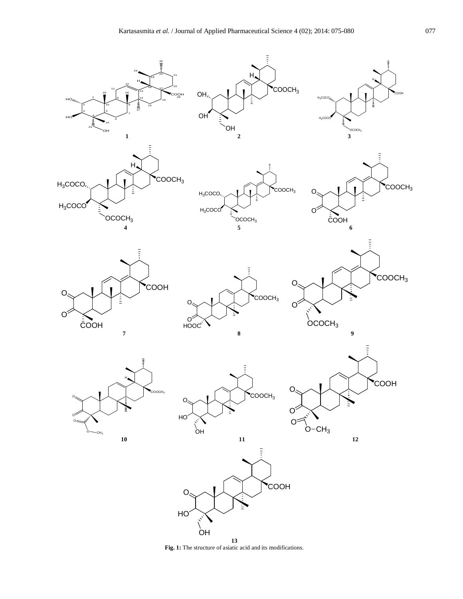

**Fig. 1:** The structure of asiatic acid and its modifications.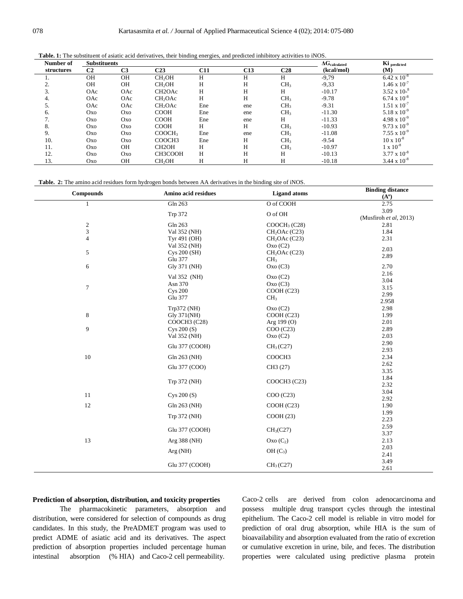**Table. 1:** The substituent of asiatic acid derivatives, their binding energies, and predicted inhibitory activities to iNOS.

| Number of  | <b>Substituents</b> |                |                     | $\Delta G_{calculated}$ | Ki predicted |                 |            |                       |
|------------|---------------------|----------------|---------------------|-------------------------|--------------|-----------------|------------|-----------------------|
| structures | C <sub>2</sub>      | C <sub>3</sub> | C23                 | C11                     | C13          | C <sub>28</sub> | (kcal/mol) | (M)                   |
|            | <b>OH</b>           | <b>OH</b>      | CH <sub>2</sub> OH  | Н                       | Н            | H               | $-9,79$    | $6.42 \times 10^{-8}$ |
|            | <b>OH</b>           | OH             | CH <sub>2</sub> OH  | H                       | H            | CH <sub>3</sub> | $-9,33$    | $1.46 \times 10^{-7}$ |
| 3.         | OAc                 | OAc            | CH <sub>2</sub> OAc | H                       | H            | H               | $-10.17$   | $3.52 \times 10^{-8}$ |
| 4.         | OAc                 | OAc            | CH <sub>2</sub> OAc | H                       | H            | CH <sub>3</sub> | $-9.78$    | $6.74 \times 10^{-8}$ |
|            | OAc                 | OAc            | CH <sub>2</sub> OAc | Ene                     | ene          | CH <sub>3</sub> | $-9.31$    | $1.51 \times 10^{-7}$ |
| 6.         | Oxo                 | Oxo            | <b>COOH</b>         | Ene                     | ene          | CH <sub>3</sub> | $-11.30$   | $5.18 \times 10^{-9}$ |
| $\prime$ . | Oxo                 | Oxo            | <b>COOH</b>         | Ene                     | ene          | H               | $-11.33$   | $4.98 \times 10^{-9}$ |
| 8.         | Oxo                 | Oxo            | <b>COOH</b>         | Н                       | H            | CH <sub>3</sub> | $-10.93$   | $9.73 \times 10^{-9}$ |
| 9.         | <b>Oxo</b>          | Oxo            | COOCH <sub>3</sub>  | Ene                     | ene          | CH <sub>3</sub> | $-11.08$   | $7.55 \times 10^{-9}$ |
| 10.        | Oxo                 | <b>Oxo</b>     | COOCH3              | Ene                     | Н            | CH <sub>3</sub> | $-9.54$    | $10 \times 10^{-8}$   |
| 11.        | <b>Oxo</b>          | <b>OH</b>      | CH <sub>2</sub> OH  | Н                       | H            | CH <sub>3</sub> | $-10.97$   | $1 \times 10^{-8}$    |
| 12.        | <b>Oxo</b>          | <b>Oxo</b>     | CH3COOH             | H                       | Н            | H               | $-10.13$   | $3.77 \times 10^{-8}$ |
| 13.        | Oxo                 | OH             | CH <sub>2</sub> OH  | H                       | H            | H               | $-10.18$   | $3.44 \times 10^{-8}$ |

**Table. 2:** The amino acid residues form hydrogen bonds between AA derivatives in the binding site of iNOS.

| <b>Compounds</b> | Amino acid residues | <b>Ligand</b> atoms       | <b>Binding distance</b><br>$(A^o)$ |
|------------------|---------------------|---------------------------|------------------------------------|
| $\mathbf{1}$     | Gln 263             | O of COOH                 | 2.75                               |
|                  | Trp 372             | O of OH                   | 3.09                               |
|                  |                     |                           | (Musfiroh et al, 2013)             |
| $\sqrt{2}$       | Gln 263             | COOCH <sub>3</sub> (C28)  | 2.81                               |
| $\mathfrak{Z}$   | Val 352 (NH)        | CH <sub>2</sub> OAc (C23) | 1.84                               |
| $\overline{4}$   | Tyr 491 (OH)        | CH <sub>2</sub> OAc (C23) | 2.31                               |
|                  | Val 352 (NH)        | Oxo(C2)                   | 2.03                               |
| 5                | Cys 200 (SH)        | CH <sub>2</sub> OAc (C23) | 2.89                               |
|                  | Glu 377             | CH <sub>3</sub>           |                                    |
| 6                | Gly 371 (NH)        | Oxo(C3)                   | 2.70<br>2.16                       |
|                  | Val 352 (NH)        | Oxo(C2)                   | 3.04                               |
| $\tau$           | Asn 370             | Oxo(C3)                   | 3.15                               |
|                  | <b>Cys 200</b>      | COOH (C23)                | 2.99                               |
|                  | Glu 377             | CH <sub>3</sub>           | 2.958                              |
|                  | Trp372 (NH)         | Oxo(C2)                   | 2.98                               |
| $\,8\,$          | Gly 371(NH)         | COOH (C23)                | 1.99                               |
|                  | COOCH3 (C28)        | Arg $199(0)$              | 2.01                               |
| 9                | Cys 200 (S)         | COO (C23)                 | 2.89                               |
|                  | Val 352 (NH)        | Oxo(C2)                   | 2.03                               |
|                  |                     | CH <sub>3</sub> (C27)     | 2.90                               |
|                  | Glu 377 (COOH)      |                           | 2.93                               |
| $10\,$           | Gln 263 (NH)        | COOCH3                    | 2.34                               |
|                  | Glu 377 (COO)       | CH3 (27)                  | 2.62                               |
|                  |                     |                           | 3.35                               |
|                  | Trp 372 (NH)        | COOCH3 (C23)              | 1.84                               |
|                  |                     |                           | 2.32                               |
| $11\,$           | Cys $200(S)$        | COO (C23)                 | 3.04                               |
| 12               | Gln 263 (NH)        | COOH (C23)                | 2.92<br>1.90                       |
|                  |                     |                           | 1.99                               |
|                  | Trp 372 (NH)        | COOH(23)                  | 2.23                               |
|                  |                     |                           | 2.59                               |
|                  | Glu 377 (COOH)      | CH <sub>3</sub> (C27)     | 3.37                               |
| 13               | Arg 388 (NH)        | $Oxo(C_2)$                | 2.13                               |
|                  |                     |                           | 2.03                               |
|                  | Arg(NH)             | OH (C <sub>3</sub> )      | 2.41                               |
|                  | Glu 377 (COOH)      | CH <sub>3</sub> (C27)     | 3.49                               |
|                  |                     |                           | 2.61                               |

## **Prediction of absorption, distribution, and toxicity properties**

The pharmacokinetic parameters, absorption and distribution, were considered for selection of compounds as drug candidates. In this study, the PreADMET program was used to predict ADME of asiatic acid and its derivatives. The aspect prediction of absorption properties included percentage human intestinal absorption (% HIA) and Caco-2 cell permeability.

Caco-2 cells are derived from colon adenocarcinoma and possess multiple drug transport cycles through the intestinal epithelium. The Caco-2 cell model is reliable in vitro model for prediction of oral drug absorption, while HIA is the sum of bioavailability and absorption evaluated from the ratio of excretion or cumulative excretion in urine, bile, and feces. The distribution properties were calculated using predictive plasma protein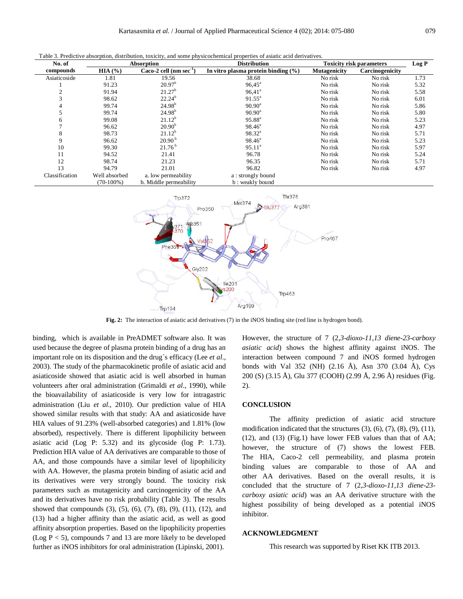Table 3. Predictive absorption, distribution, toxicity, and some physicochemical properties of asiatic acid derivatives.

| No. of         |               | Absorption                  | <b>Distribution</b>                     | <b>Toxicity risk parameters</b> |                 | Log P |
|----------------|---------------|-----------------------------|-----------------------------------------|---------------------------------|-----------------|-------|
| compounds      | HIA(%)        | Caco-2 cell $(nm sec^{-1})$ | In vitro plasma protein binding $(\% )$ | Mutagenicity                    | Carcinogenicity |       |
| Asiaticoside   | 1.81          | 19.56                       | 38.68                                   | No risk                         | No risk         | 1.73  |
|                | 91.23         | 20.97 <sup>b</sup>          | $96,45^{\circ}$                         | No risk                         | No risk         | 5.32  |
|                | 91.94         | 21.27 <sup>b</sup>          | $96,41^a$                               | No risk                         | No risk         | 5.58  |
|                | 98.62         | $22.24^{b}$                 | $91.55^{\circ}$                         | No risk                         | No risk         | 6.01  |
| 4              | 99.74         | $24.98^{b}$                 | $90.90^{\rm a}$                         | No risk                         | No risk         | 5.86  |
|                | 99.74         | $24.98^{b}$                 | $90.90^{\rm a}$                         | No risk                         | No risk         | 5.80  |
| 6              | 99.08         | $21.12^{b}$                 | $95.88^{a}$                             | No risk                         | No risk         | 5.23  |
|                | 96.62         | $20.90^{b}$                 | $98.46^{\circ}$                         | No risk                         | No risk         | 4.97  |
| 8              | 98.73         | $21.12^{b}$                 | $98.32^{a}$                             | No risk                         | No risk         | 5.71  |
| 9              | 96.62         | 20.90 <sup>b</sup>          | $98.46^{\circ}$                         | No risk                         | No risk         | 5.23  |
| 10             | 99.30         | 21.76 <sup>b</sup>          | $95.11^a$                               | No risk                         | No risk         | 5.97  |
| 11             | 94.52         | 21.41                       | 96.78                                   | No risk                         | No risk         | 5.24  |
| 12             | 98.74         | 21.23                       | 96.35                                   | No risk                         | No risk         | 5.71  |
| 13             | 94.79         | 21.01                       | 96.82                                   | No risk                         | No risk         | 4.97  |
| Classification | Well absorbed | a. low permeability         | a: strongly bound                       |                                 |                 |       |
|                | $(70-100\%)$  | b. Middle permeability      | b: weakly bound                         |                                 |                 |       |



**Fig. 2:** The interaction of asiatic acid derivatives (7) in the iNOS binding site (red line is hydrogen bond).

binding, which is available in PreADMET software also. It was used because the degree of plasma protein binding of a drug has an important role on its disposition and the drug`s efficacy (Lee *et al*.*,* 2003). The study of the pharmacokinetic profile of asiatic acid and asiaticoside showed that asiatic acid is well absorbed in human volunteers after oral administration (Grimaldi *et al*.*,* 1990), while the bioavailability of asiaticoside is very low for intragastric administration (Liu *et al.,* 2010). Our prediction value of HIA showed similar results with that study: AA and asiaticoside have HIA values of 91.23% (well-absorbed categories) and 1.81% (low absorbed), respectively. There is different lipophilicity between asiatic acid (Log P: 5.32) and its glycoside (log P: 1.73). Prediction HIA value of AA derivatives are comparable to those of AA, and those compounds have a similar level of lipophilicity with AA. However, the plasma protein binding of asiatic acid and its derivatives were very strongly bound. The toxicity risk parameters such as mutagenicity and carcinogenicity of the AA and its derivatives have no risk probability (Table 3). The results showed that compounds (3), (5), (6), (7), (8), (9), (11), (12), and (13) had a higher affinity than the asiatic acid, as well as good affinity absorption properties. Based on the lipophilicity properties (Log  $P < 5$ ), compounds 7 and 13 are more likely to be developed further as iNOS inhibitors for oral administration (Lipinski, 2001).

However, the structure of 7 (2*,3-dioxo-11,13 diene-23-carboxy asiatic acid*) shows the highest affinity against iNOS. The interaction between compound 7 and iNOS formed hydrogen bonds with Val 352 (NH) (2.16 Å), Asn 370 (3.04 Å), Cys 200 (S) (3.15 Å), Glu 377 (COOH) (2.99 Å, 2.96 Å) residues (Fig. 2).

#### **CONCLUSION**

The affinity prediction of asiatic acid structure modification indicated that the structures  $(3)$ ,  $(6)$ ,  $(7)$ ,  $(8)$ ,  $(9)$ ,  $(11)$ , (12), and (13) (Fig.1) have lower FEB values than that of AA; however, the structure of (7) shows the lowest FEB. The HIA, Caco-2 cell permeability, and plasma protein binding values are comparable to those of AA and other AA derivatives. Based on the overall results, it is concluded that the structure of 7 (2*,3-dioxo-11,13 diene-23 carboxy asiatic acid*) was an AA derivative structure with the highest possibility of being developed as a potential iNOS inhibitor.

#### **ACKNOWLEDGMENT**

This research was supported by Riset KK ITB 2013.